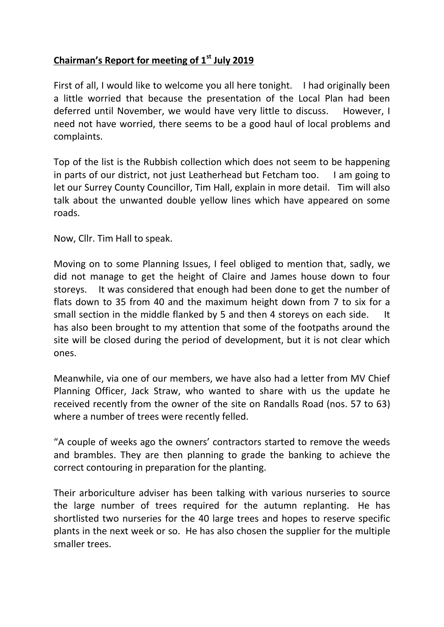## **Chairman's Report for meeting of 1st July 2019**

First of all, I would like to welcome you all here tonight. I had originally been a little worried that because the presentation of the Local Plan had been deferred until November, we would have very little to discuss. However, I need not have worried, there seems to be a good haul of local problems and complaints.

Top of the list is the Rubbish collection which does not seem to be happening in parts of our district, not just Leatherhead but Fetcham too. I am going to let our Surrey County Councillor, Tim Hall, explain in more detail. Tim will also talk about the unwanted double yellow lines which have appeared on some roads.

Now, Cllr. Tim Hall to speak.

Moving on to some Planning Issues, I feel obliged to mention that, sadly, we did not manage to get the height of Claire and James house down to four storeys. It was considered that enough had been done to get the number of flats down to 35 from 40 and the maximum height down from 7 to six for a small section in the middle flanked by 5 and then 4 storeys on each side. It has also been brought to my attention that some of the footpaths around the site will be closed during the period of development, but it is not clear which ones.

Meanwhile, via one of our members, we have also had a letter from MV Chief Planning Officer, Jack Straw, who wanted to share with us the update he received recently from the owner of the site on Randalls Road (nos. 57 to 63) where a number of trees were recently felled.

"A couple of weeks ago the owners' contractors started to remove the weeds and brambles. They are then planning to grade the banking to achieve the correct contouring in preparation for the planting.

Their arboriculture adviser has been talking with various nurseries to source the large number of trees required for the autumn replanting. He has shortlisted two nurseries for the 40 large trees and hopes to reserve specific plants in the next week or so. He has also chosen the supplier for the multiple smaller trees.